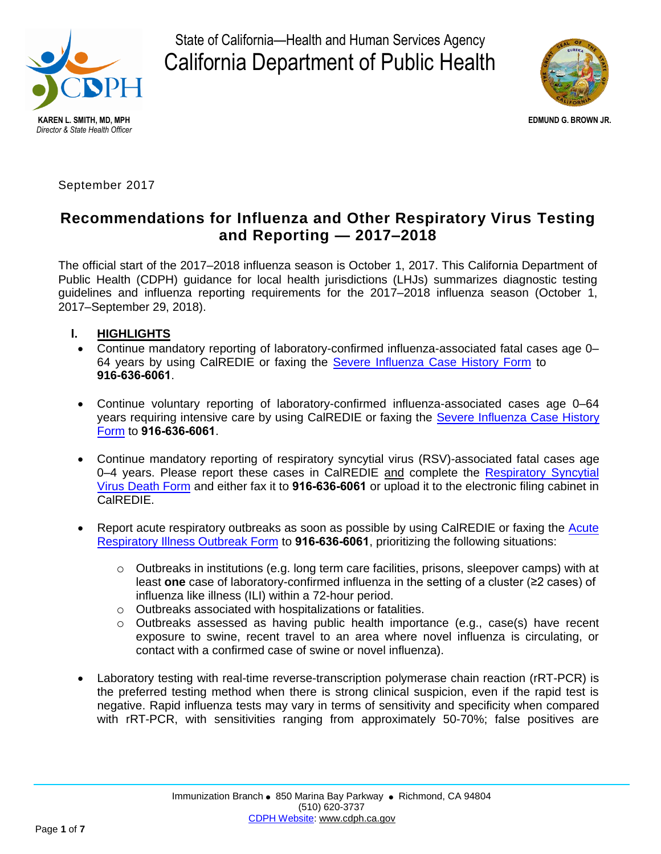

State of California—Health and Human Services Agency California Department of Public Health



**EDMUND G. BROWN JR.** 

September 2017

# **Recommendations for Influenza and Other Respiratory Virus Testing and Reporting — 2017–2018**

The official start of the 2017–2018 influenza season is October 1, 2017. This California Department of Public Health (CDPH) guidance for local health jurisdictions (LHJs) summarizes diagnostic testing guidelines and influenza reporting requirements for the 2017–2018 influenza season (October 1, 2017–September 29, 2018).

- **I. HIGHLIGHTS**
	- Continue mandatory reporting of laboratory-confirmed influenza-associated fatal cases age 0– 64 years by using CalREDIE or faxing the [Severe Influenza Case History Form](https://www.cdph.ca.gov/CDPH%20Document%20Library/ControlledForms/cdph9070.pdf) to **916-636-6061**.
- Continue voluntary reporting of laboratory-confirmed influenza-associated cases age 0–64 years requiring intensive care by using CalREDIE or faxing the [Severe Influenza Case History](https://www.cdph.ca.gov/CDPH%20Document%20Library/ControlledForms/cdph9070.pdf) [Form](https://www.cdph.ca.gov/CDPH%20Document%20Library/ControlledForms/cdph9070.pdf) to **916-636-6061**.
- Continue mandatory reporting of respiratory syncytial virus (RSV)-associated fatal cases age 0-4 years. Please report these cases in CalREDIE and complete the [Respiratory Syncytial](https://www.cdph.ca.gov/CDPH%20Document%20Library/ControlledForms/cdph8265.pdf) [Virus Death Form](https://www.cdph.ca.gov/CDPH%20Document%20Library/ControlledForms/cdph8265.pdf) and either fax it to **916-636-6061** or upload it to the electronic filing cabinet in CalREDIE.
- Report acute respiratory outbreaks as soon as possible by using CalREDIE or faxing th[e Acute](https://www.cdph.ca.gov/CDPH%20Document%20Library/ControlledForms/cdph9003.pdf) [Respiratory Illness Outbreak Form](https://www.cdph.ca.gov/CDPH%20Document%20Library/ControlledForms/cdph9003.pdf) to **916-636-6061**, prioritizing the following situations:
	- $\circ$  Outbreaks in institutions (e.g. long term care facilities, prisons, sleepover camps) with at least **one** case of laboratory-confirmed influenza in the setting of a cluster (≥2 cases) of influenza like illness (ILI) within a 72-hour period.
	- o Outbreaks associated with hospitalizations or fatalities.
	- o Outbreaks assessed as having public health importance (e.g., case(s) have recent exposure to swine, recent travel to an area where novel influenza is circulating, or contact with a confirmed case of swine or novel influenza).
- Laboratory testing with real-time reverse-transcription polymerase chain reaction (rRT-PCR) is the preferred testing method when there is strong clinical suspicion, even if the rapid test is negative. Rapid influenza tests may vary in terms of sensitivity and specificity when compared with rRT-PCR, with sensitivities ranging from approximately 50-70%; false positives are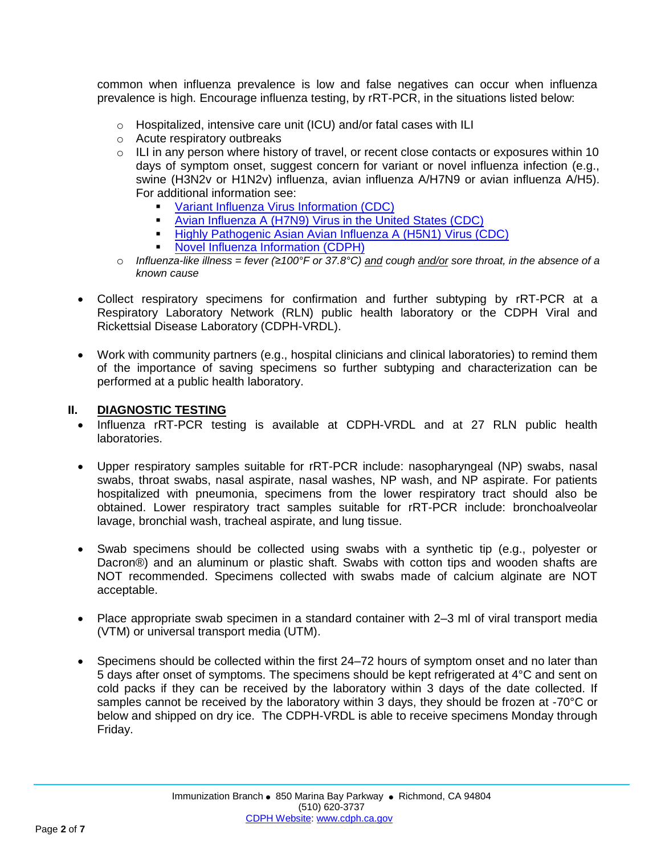common when influenza prevalence is low and false negatives can occur when influenza prevalence is high. Encourage influenza testing, by rRT-PCR, in the situations listed below:

- o Hospitalized, intensive care unit (ICU) and/or fatal cases with ILI
- o Acute respiratory outbreaks
- $\circ$  ILI in any person where history of travel, or recent close contacts or exposures within 10 days of symptom onset, suggest concern for variant or novel influenza infection (e.g., swine (H3N2v or H1N2v) influenza, avian influenza A/H7N9 or avian influenza A/H5). For additional information see:
	- [Variant Influenza Virus Information \(CDC\)](http://www.cdc.gov/flu/swineflu/variant.htm)
	- [Avian Influenza A \(H7N9\) Virus in the United States \(CDC\)](http://www.cdc.gov/flu/avianflu/h7n9/case-definitions.htm)
	- [Highly Pathogenic Asian Avian Influenza A \(H5N1\) Virus \(CDC\)](https://www.cdc.gov/flu/avianflu/h5n1-virus.htm)
	- [Novel Influenza Information \(CDPH\)](%09http:/www.cdph.ca.gov/HealthInfo/discond/Documents/CDPH_Influenza_H5N1_H7N9_HPAI_%20Quicksheet_final.pdf)
- o *Influenza-like illness = fever (≥100°F or 37.8°C) and cough and/or sore throat, in the absence of a known cause*
- Collect respiratory specimens for confirmation and further subtyping by rRT-PCR at a Respiratory Laboratory Network (RLN) public health laboratory or the CDPH Viral and Rickettsial Disease Laboratory (CDPH-VRDL).
- Work with community partners (e.g., hospital clinicians and clinical laboratories) to remind them of the importance of saving specimens so further subtyping and characterization can be performed at a public health laboratory.

#### **II. DIAGNOSTIC TESTING**

- Influenza rRT-PCR testing is available at CDPH-VRDL and at 27 RLN public health laboratories.
- Upper respiratory samples suitable for rRT-PCR include: nasopharyngeal (NP) swabs, nasal swabs, throat swabs, nasal aspirate, nasal washes, NP wash, and NP aspirate. For patients hospitalized with pneumonia, specimens from the lower respiratory tract should also be obtained. Lower respiratory tract samples suitable for rRT-PCR include: bronchoalveolar lavage, bronchial wash, tracheal aspirate, and lung tissue.
- Swab specimens should be collected using swabs with a synthetic tip (e.g., polyester or Dacron®) and an aluminum or plastic shaft. Swabs with cotton tips and wooden shafts are NOT recommended. Specimens collected with swabs made of calcium alginate are NOT acceptable.
- Place appropriate swab specimen in a standard container with 2–3 ml of viral transport media (VTM) or universal transport media (UTM).
- Specimens should be collected within the first 24–72 hours of symptom onset and no later than 5 days after onset of symptoms. The specimens should be kept refrigerated at 4°C and sent on cold packs if they can be received by the laboratory within 3 days of the date collected. If samples cannot be received by the laboratory within 3 days, they should be frozen at -70°C or below and shipped on dry ice. The CDPH-VRDL is able to receive specimens Monday through Friday.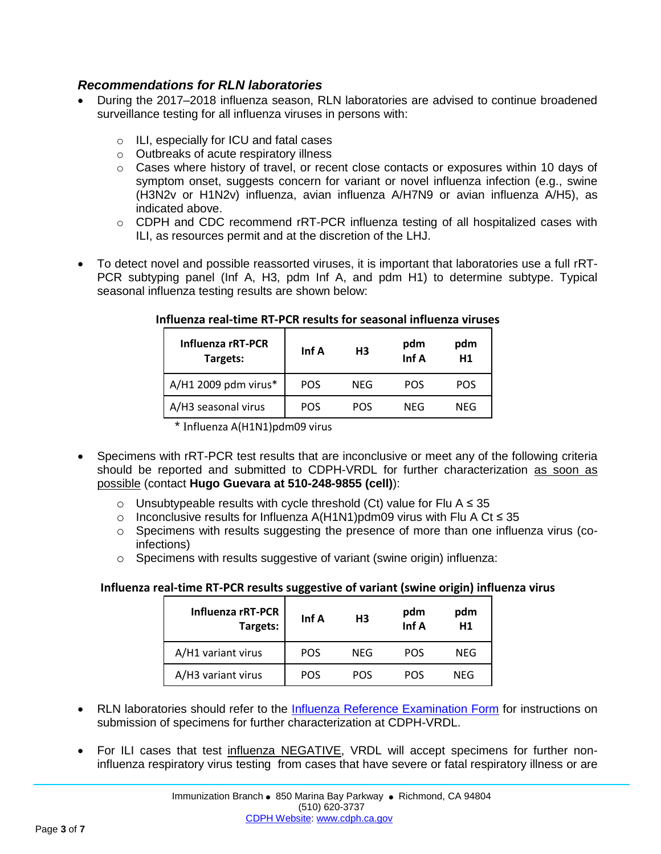#### *Recommendations for RLN laboratories*

- During the 2017–2018 influenza season, RLN laboratories are advised to continue broadened surveillance testing for all influenza viruses in persons with:
	- o ILI, especially for ICU and fatal cases
	- o Outbreaks of acute respiratory illness
	- $\circ$  Cases where history of travel, or recent close contacts or exposures within 10 days of symptom onset, suggests concern for variant or novel influenza infection (e.g., swine (H3N2v or H1N2v) influenza, avian influenza A/H7N9 or avian influenza A/H5), as indicated above.
	- o CDPH and CDC recommend rRT-PCR influenza testing of all hospitalized cases with ILI, as resources permit and at the discretion of the LHJ.
- To detect novel and possible reassorted viruses, it is important that laboratories use a full rRT-PCR subtyping panel (Inf A, H3, pdm Inf A, and pdm H1) to determine subtype. Typical seasonal influenza testing results are shown below:

| Influenza rRT-PCR<br>Targets: | Inf A      | H <sub>3</sub> | pdm<br>Inf A | pdm<br>H1  |
|-------------------------------|------------|----------------|--------------|------------|
| A/H1 2009 pdm virus*          | <b>POS</b> | NFG            | <b>POS</b>   | POS        |
| A/H3 seasonal virus           | <b>POS</b> | <b>POS</b>     | NFG          | <b>NEG</b> |
| ∸ ~<br>. .                    |            |                |              |            |

#### **Influenza real-time RT-PCR results for seasonal influenza viruses**

Influenza A(H1N1)pdm09 virus

- Specimens with rRT-PCR test results that are inconclusive or meet any of the following criteria should be reported and submitted to CDPH-VRDL for further characterization as soon as possible (contact **Hugo Guevara at 510-248-9855 (cell)**):
	- o Unsubtypeable results with cycle threshold (Ct) value for Flu A  $≤ 35$
	- o Inconclusive results for Influenza A(H1N1)pdm09 virus with Flu A Ct ≤ 35
	- $\circ$  Specimens with results suggesting the presence of more than one influenza virus (coinfections)
	- o Specimens with results suggestive of variant (swine origin) influenza:

#### **Influenza real-time RT-PCR results suggestive of variant (swine origin) influenza virus**

| <b>Influenza rRT-PCR</b><br>Targets: | Inf A      | H <sub>3</sub> | pdm<br>Inf A | pdm<br>H <sub>1</sub> |
|--------------------------------------|------------|----------------|--------------|-----------------------|
| A/H1 variant virus                   | <b>POS</b> | NEG            | <b>POS</b>   | NEG                   |
| A/H3 variant virus                   | <b>POS</b> | <b>POS</b>     | <b>POS</b>   | NFG                   |

- RLN laboratories should refer to the **Influenza Reference Examination Form** for instructions on submission of specimens for further characterization at CDPH-VRDL.
- For ILI cases that test influenza NEGATIVE, VRDL will accept specimens for further noninfluenza respiratory virus testing from cases that have severe or fatal respiratory illness or are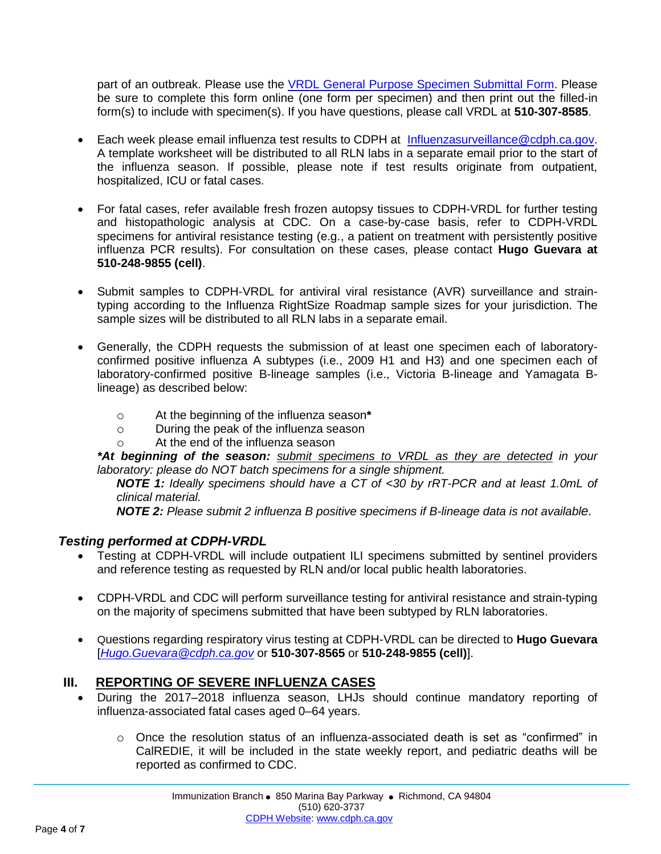part of an outbreak. Please use the [VRDL General Purpose Specimen Submittal Form.](https://www.cdph.ca.gov/Programs/CID/DCDC/Pages/VRDL_Specimen_Submittal_Forms.aspx) Please be sure to complete this form online (one form per specimen) and then print out the filled-in form(s) to include with specimen(s). If you have questions, please call VRDL at **510-307-8585**.

- Each week please email influenza test results to CDPH at [Influenzasurveillance@cdph.ca.gov.](mailto:Influenzasurveillance@cdph.ca.gov) A template worksheet will be distributed to all RLN labs in a separate email prior to the start of the influenza season. If possible, please note if test results originate from outpatient, hospitalized, ICU or fatal cases.
- For fatal cases, refer available fresh frozen autopsy tissues to CDPH-VRDL for further testing and histopathologic analysis at CDC. On a case-by-case basis, refer to CDPH-VRDL specimens for antiviral resistance testing (e.g., a patient on treatment with persistently positive influenza PCR results). For consultation on these cases, please contact **Hugo Guevara at 510-248-9855 (cell)**.
- Submit samples to CDPH-VRDL for antiviral viral resistance (AVR) surveillance and straintyping according to the Influenza RightSize Roadmap sample sizes for your jurisdiction. The sample sizes will be distributed to all RLN labs in a separate email.
- Generally, the CDPH requests the submission of at least one specimen each of laboratoryconfirmed positive influenza A subtypes (i.e., 2009 H1 and H3) and one specimen each of laboratory-confirmed positive B-lineage samples (i.e., Victoria B-lineage and Yamagata Blineage) as described below:
	- o At the beginning of the influenza season**\***
	- o During the peak of the influenza season
	- o At the end of the influenza season

*\*At beginning of the season: submit specimens to VRDL as they are detected in your laboratory: please do NOT batch specimens for a single shipment.*

*NOTE 1: Ideally specimens should have a CT of <30 by rRT-PCR and at least 1.0mL of clinical material.* 

*NOTE 2: Please submit 2 influenza B positive specimens if B-lineage data is not available.* 

#### *Testing performed at CDPH-VRDL*

- Testing at CDPH-VRDL will include outpatient ILI specimens submitted by sentinel providers and reference testing as requested by RLN and/or local public health laboratories.
- CDPH-VRDL and CDC will perform surveillance testing for antiviral resistance and strain-typing on the majority of specimens submitted that have been subtyped by RLN laboratories.
- Questions regarding respiratory virus testing at CDPH-VRDL can be directed to **Hugo Guevara** [*[Hugo.Guevara@cdph.ca.gov](mailto:Hugo.Guevara@cdph.ca.gov)* or **510-307-8565** or **510-248-9855 (cell)**].

## **III. REPORTING OF SEVERE INFLUENZA CASES**

- During the 2017–2018 influenza season, LHJs should continue mandatory reporting of influenza-associated fatal cases aged 0–64 years.
	- $\circ$  Once the resolution status of an influenza-associated death is set as "confirmed" in CalREDIE, it will be included in the state weekly report, and pediatric deaths will be reported as confirmed to CDC.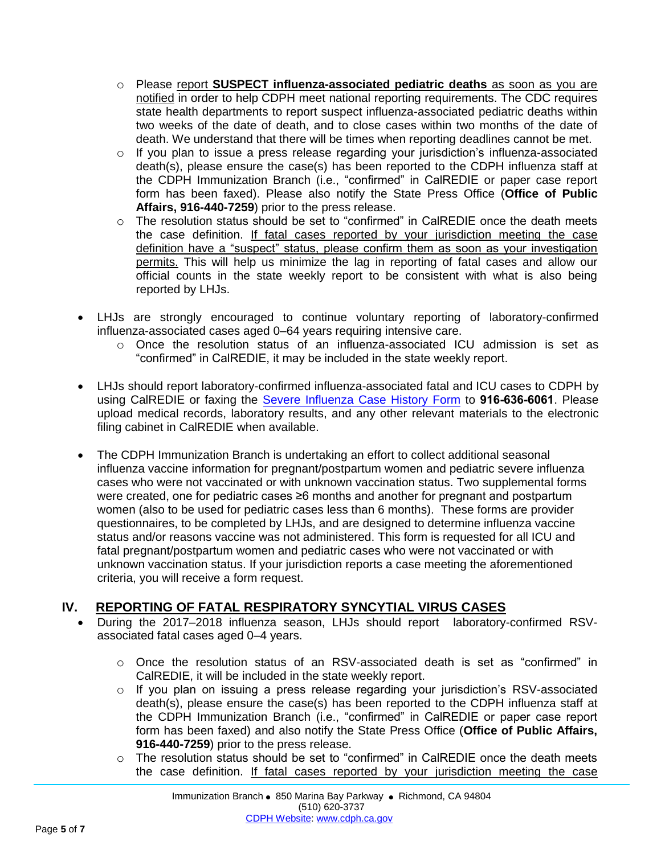- o Please report **SUSPECT influenza-associated pediatric deaths** as soon as you are notified in order to help CDPH meet national reporting requirements. The CDC requires state health departments to report suspect influenza-associated pediatric deaths within two weeks of the date of death, and to close cases within two months of the date of death. We understand that there will be times when reporting deadlines cannot be met.
- $\circ$  If you plan to issue a press release regarding your jurisdiction's influenza-associated death(s), please ensure the case(s) has been reported to the CDPH influenza staff at the CDPH Immunization Branch (i.e., "confirmed" in CalREDIE or paper case report form has been faxed). Please also notify the State Press Office (**Office of Public Affairs, 916-440-7259**) prior to the press release.
- $\circ$  The resolution status should be set to "confirmed" in CalREDIE once the death meets the case definition. If fatal cases reported by your jurisdiction meeting the case definition have a "suspect" status, please confirm them as soon as your investigation permits. This will help us minimize the lag in reporting of fatal cases and allow our official counts in the state weekly report to be consistent with what is also being reported by LHJs.
- LHJs are strongly encouraged to continue voluntary reporting of laboratory-confirmed influenza-associated cases aged 0–64 years requiring intensive care.
	- o Once the resolution status of an influenza-associated ICU admission is set as "confirmed" in CalREDIE, it may be included in the state weekly report.
- LHJs should report laboratory-confirmed influenza-associated fatal and ICU cases to CDPH by using CalREDIE or faxing the [Severe Influenza Case History Form](https://www.cdph.ca.gov/CDPH%20Document%20Library/ControlledForms/cdph9070.pdf) to **916-636-6061**. Please upload medical records, laboratory results, and any other relevant materials to the electronic filing cabinet in CalREDIE when available.
- The CDPH Immunization Branch is undertaking an effort to collect additional seasonal influenza vaccine information for pregnant/postpartum women and pediatric severe influenza cases who were not vaccinated or with unknown vaccination status. Two supplemental forms were created, one for pediatric cases ≥6 months and another for pregnant and postpartum women (also to be used for pediatric cases less than 6 months). These forms are provider questionnaires, to be completed by LHJs, and are designed to determine influenza vaccine status and/or reasons vaccine was not administered. This form is requested for all ICU and fatal pregnant/postpartum women and pediatric cases who were not vaccinated or with unknown vaccination status. If your jurisdiction reports a case meeting the aforementioned criteria, you will receive a form request.

# **IV. REPORTING OF FATAL RESPIRATORY SYNCYTIAL VIRUS CASES**

- During the 2017–2018 influenza season, LHJs should report laboratory-confirmed RSVassociated fatal cases aged 0–4 years.
	- o Once the resolution status of an RSV-associated death is set as "confirmed" in CalREDIE, it will be included in the state weekly report.
	- $\circ$  If you plan on issuing a press release regarding your jurisdiction's RSV-associated death(s), please ensure the case(s) has been reported to the CDPH influenza staff at the CDPH Immunization Branch (i.e., "confirmed" in CalREDIE or paper case report form has been faxed) and also notify the State Press Office (**Office of Public Affairs, 916-440-7259**) prior to the press release.
	- $\circ$  The resolution status should be set to "confirmed" in CalREDIE once the death meets the case definition. If fatal cases reported by your jurisdiction meeting the case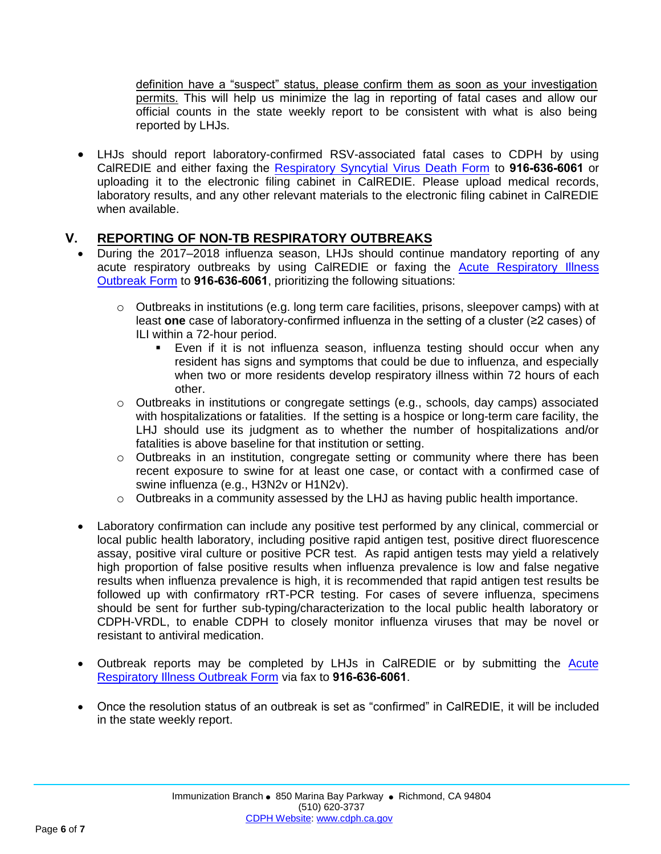definition have a "suspect" status, please confirm them as soon as your investigation permits. This will help us minimize the lag in reporting of fatal cases and allow our official counts in the state weekly report to be consistent with what is also being reported by LHJs.

• LHJs should report laboratory-confirmed RSV-associated fatal cases to CDPH by using CalREDIE and either faxing the [Respiratory Syncytial Virus Death Form](https://www.cdph.ca.gov/CDPH%20Document%20Library/ControlledForms/cdph8265.pdf) to **916-636-6061** or uploading it to the electronic filing cabinet in CalREDIE. Please upload medical records, laboratory results, and any other relevant materials to the electronic filing cabinet in CalREDIE when available.

## **V. REPORTING OF NON-TB RESPIRATORY OUTBREAKS**

- During the 2017–2018 influenza season, LHJs should continue mandatory reporting of any acute respiratory outbreaks by using CalREDIE or faxing the [Acute Respiratory Illness](https://www.cdph.ca.gov/CDPH%20Document%20Library/ControlledForms/cdph9003.pdf) [Outbreak Form](https://www.cdph.ca.gov/CDPH%20Document%20Library/ControlledForms/cdph9003.pdf) to **916-636-6061**, prioritizing the following situations:
	- $\circ$  Outbreaks in institutions (e.g. long term care facilities, prisons, sleepover camps) with at least **one** case of laboratory-confirmed influenza in the setting of a cluster (≥2 cases) of ILI within a 72-hour period.
		- Even if it is not influenza season, influenza testing should occur when any resident has signs and symptoms that could be due to influenza, and especially when two or more residents develop respiratory illness within 72 hours of each other.
	- o Outbreaks in institutions or congregate settings (e.g., schools, day camps) associated with hospitalizations or fatalities. If the setting is a hospice or long-term care facility, the LHJ should use its judgment as to whether the number of hospitalizations and/or fatalities is above baseline for that institution or setting.
	- o Outbreaks in an institution, congregate setting or community where there has been recent exposure to swine for at least one case, or contact with a confirmed case of swine influenza (e.g., H3N2v or H1N2v).
	- o Outbreaks in a community assessed by the LHJ as having public health importance.
- Laboratory confirmation can include any positive test performed by any clinical, commercial or local public health laboratory, including positive rapid antigen test, positive direct fluorescence assay, positive viral culture or positive PCR test. As rapid antigen tests may yield a relatively high proportion of false positive results when influenza prevalence is low and false negative results when influenza prevalence is high, it is recommended that rapid antigen test results be followed up with confirmatory rRT-PCR testing. For cases of severe influenza, specimens should be sent for further sub-typing/characterization to the local public health laboratory or CDPH-VRDL, to enable CDPH to closely monitor influenza viruses that may be novel or resistant to antiviral medication.
- Outbreak reports may be completed by LHJs in CalREDIE or by submitting the [Acute](https://www.cdph.ca.gov/CDPH%20Document%20Library/ControlledForms/cdph9003.pdf) [Respiratory Illness Outbreak Form](https://www.cdph.ca.gov/CDPH%20Document%20Library/ControlledForms/cdph9003.pdf) via fax to **916-636-6061**.
- Once the resolution status of an outbreak is set as "confirmed" in CalREDIE, it will be included in the state weekly report.